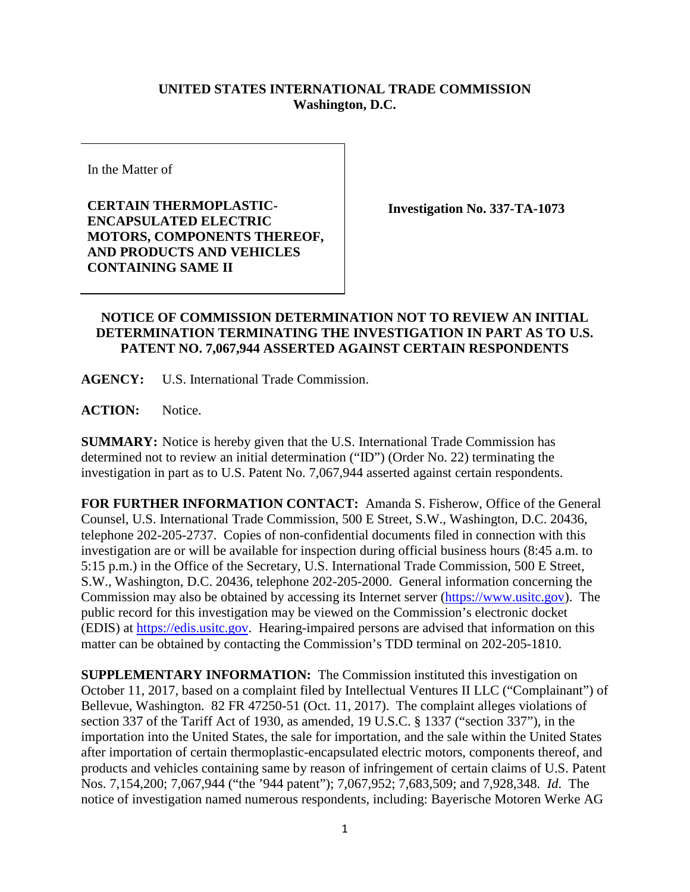## **UNITED STATES INTERNATIONAL TRADE COMMISSION Washington, D.C.**

In the Matter of

**CERTAIN THERMOPLASTIC-ENCAPSULATED ELECTRIC MOTORS, COMPONENTS THEREOF, AND PRODUCTS AND VEHICLES CONTAINING SAME II**

**Investigation No. 337-TA-1073**

## **NOTICE OF COMMISSION DETERMINATION NOT TO REVIEW AN INITIAL DETERMINATION TERMINATING THE INVESTIGATION IN PART AS TO U.S. PATENT NO. 7,067,944 ASSERTED AGAINST CERTAIN RESPONDENTS**

**AGENCY:** U.S. International Trade Commission.

**ACTION:** Notice.

**SUMMARY:** Notice is hereby given that the U.S. International Trade Commission has determined not to review an initial determination ("ID") (Order No. 22) terminating the investigation in part as to U.S. Patent No. 7,067,944 asserted against certain respondents.

**FOR FURTHER INFORMATION CONTACT:** Amanda S. Fisherow, Office of the General Counsel, U.S. International Trade Commission, 500 E Street, S.W., Washington, D.C. 20436, telephone 202-205-2737. Copies of non-confidential documents filed in connection with this investigation are or will be available for inspection during official business hours (8:45 a.m. to 5:15 p.m.) in the Office of the Secretary, U.S. International Trade Commission, 500 E Street, S.W., Washington, D.C. 20436, telephone 202-205-2000. General information concerning the Commission may also be obtained by accessing its Internet server [\(https://www.usitc.gov\)](https://www.usitc.gov/). The public record for this investigation may be viewed on the Commission's electronic docket (EDIS) at [https://edis.usitc.gov.](https://edis.usitc.gov/) Hearing-impaired persons are advised that information on this matter can be obtained by contacting the Commission's TDD terminal on 202-205-1810.

**SUPPLEMENTARY INFORMATION:** The Commission instituted this investigation on October 11, 2017, based on a complaint filed by Intellectual Ventures II LLC ("Complainant") of Bellevue, Washington. 82 FR 47250-51 (Oct. 11, 2017). The complaint alleges violations of section 337 of the Tariff Act of 1930, as amended, 19 U.S.C. § 1337 ("section 337"), in the importation into the United States, the sale for importation, and the sale within the United States after importation of certain thermoplastic-encapsulated electric motors, components thereof, and products and vehicles containing same by reason of infringement of certain claims of U.S. Patent Nos. 7,154,200; 7,067,944 ("the '944 patent"); 7,067,952; 7,683,509; and 7,928,348. *Id*. The notice of investigation named numerous respondents, including: Bayerische Motoren Werke AG